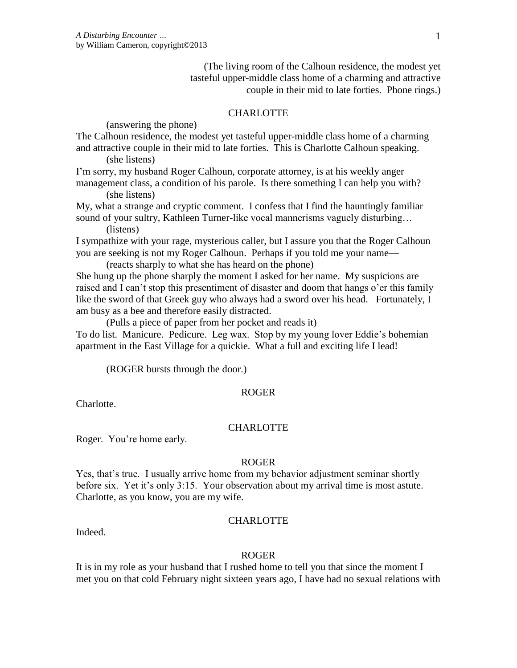(The living room of the Calhoun residence, the modest yet tasteful upper-middle class home of a charming and attractive couple in their mid to late forties. Phone rings.)

# **CHARLOTTE**

(answering the phone)

The Calhoun residence, the modest yet tasteful upper-middle class home of a charming and attractive couple in their mid to late forties. This is Charlotte Calhoun speaking. (she listens)

I'm sorry, my husband Roger Calhoun, corporate attorney, is at his weekly anger management class, a condition of his parole. Is there something I can help you with? (she listens)

My, what a strange and cryptic comment. I confess that I find the hauntingly familiar sound of your sultry, Kathleen Turner-like vocal mannerisms vaguely disturbing...

(listens)

I sympathize with your rage, mysterious caller, but I assure you that the Roger Calhoun you are seeking is not my Roger Calhoun. Perhaps if you told me your name—

(reacts sharply to what she has heard on the phone)

She hung up the phone sharply the moment I asked for her name. My suspicions are raised and I can't stop this presentiment of disaster and doom that hangs o'er this family like the sword of that Greek guy who always had a sword over his head. Fortunately, I am busy as a bee and therefore easily distracted.

(Pulls a piece of paper from her pocket and reads it)

To do list. Manicure. Pedicure. Leg wax. Stop by my young lover Eddie's bohemian apartment in the East Village for a quickie. What a full and exciting life I lead!

(ROGER bursts through the door.)

#### ROGER

Charlotte.

### **CHARLOTTE**

Roger. You're home early.

#### ROGER

Yes, that's true. I usually arrive home from my behavior adjustment seminar shortly before six. Yet it's only 3:15. Your observation about my arrival time is most astute. Charlotte, as you know, you are my wife.

### **CHARLOTTE**

Indeed.

### ROGER

It is in my role as your husband that I rushed home to tell you that since the moment I met you on that cold February night sixteen years ago, I have had no sexual relations with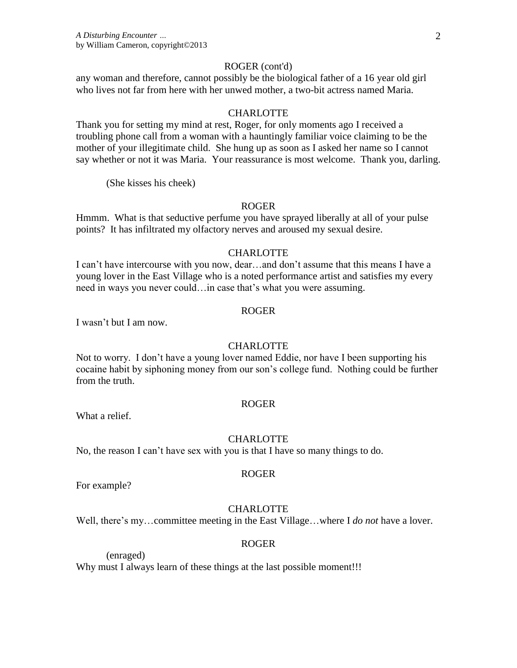#### ROGER (cont'd)

any woman and therefore, cannot possibly be the biological father of a 16 year old girl who lives not far from here with her unwed mother, a two-bit actress named Maria.

### CHARLOTTE

Thank you for setting my mind at rest, Roger, for only moments ago I received a troubling phone call from a woman with a hauntingly familiar voice claiming to be the mother of your illegitimate child. She hung up as soon as I asked her name so I cannot say whether or not it was Maria. Your reassurance is most welcome. Thank you, darling.

(She kisses his cheek)

### ROGER

Hmmm. What is that seductive perfume you have sprayed liberally at all of your pulse points? It has infiltrated my olfactory nerves and aroused my sexual desire.

### CHARLOTTE

I can't have intercourse with you now, dear…and don't assume that this means I have a young lover in the East Village who is a noted performance artist and satisfies my every need in ways you never could…in case that's what you were assuming.

### ROGER

I wasn't but I am now.

#### CHARLOTTE

Not to worry. I don't have a young lover named Eddie, nor have I been supporting his cocaine habit by siphoning money from our son's college fund. Nothing could be further from the truth.

### ROGER

What a relief.

#### **CHARLOTTE**

ROGER

No, the reason I can't have sex with you is that I have so many things to do.

For example?

#### **CHARLOTTE**

Well, there's my…committee meeting in the East Village…where I *do not* have a lover.

# ROGER

(enraged)

Why must I always learn of these things at the last possible moment!!!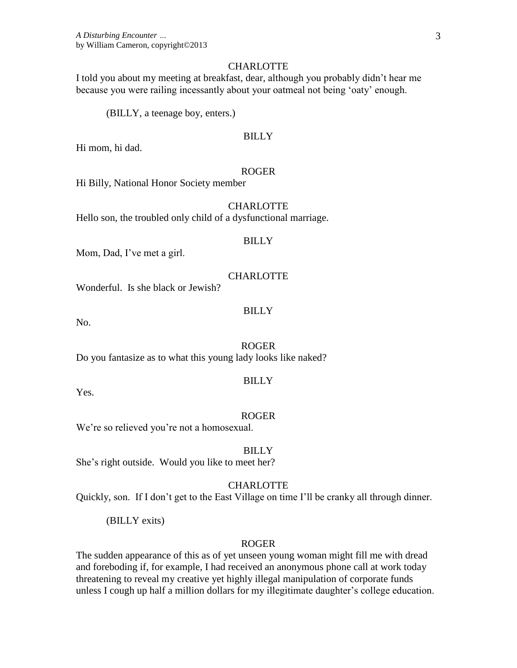### **CHARLOTTE**

I told you about my meeting at breakfast, dear, although you probably didn't hear me because you were railing incessantly about your oatmeal not being 'oaty' enough.

(BILLY, a teenage boy, enters.)

# BILLY

Hi mom, hi dad.

# ROGER

Hi Billy, National Honor Society member

### **CHARLOTTE**

Hello son, the troubled only child of a dysfunctional marriage.

#### **BILLY**

Mom, Dad, I've met a girl.

#### CHARLOTTE

Wonderful. Is she black or Jewish?

### BILLY

No.

#### ROGER

Do you fantasize as to what this young lady looks like naked?

### BILLY

Yes.

#### ROGER

We're so relieved you're not a homosexual.

BILLY She's right outside. Would you like to meet her?

#### **CHARLOTTE**

Quickly, son. If I don't get to the East Village on time I'll be cranky all through dinner.

(BILLY exits)

### ROGER

The sudden appearance of this as of yet unseen young woman might fill me with dread and foreboding if, for example, I had received an anonymous phone call at work today threatening to reveal my creative yet highly illegal manipulation of corporate funds unless I cough up half a million dollars for my illegitimate daughter's college education.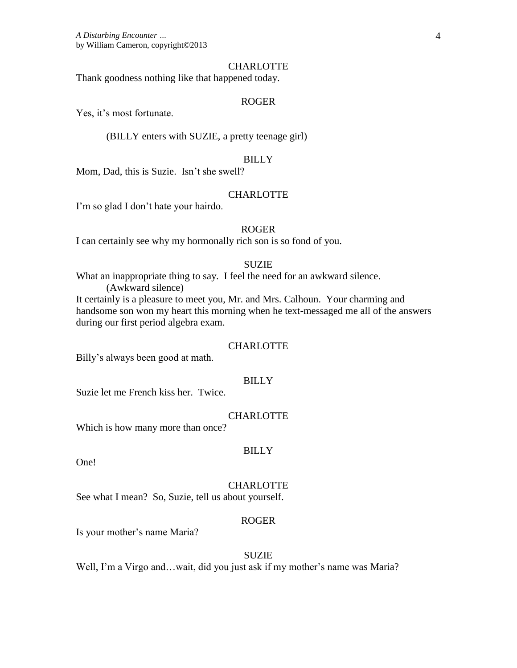### **CHARLOTTE**

Thank goodness nothing like that happened today.

### ROGER

Yes, it's most fortunate.

(BILLY enters with SUZIE, a pretty teenage girl)

# BILLY

Mom, Dad, this is Suzie. Isn't she swell?

# **CHARLOTTE**

I'm so glad I don't hate your hairdo.

#### ROGER

I can certainly see why my hormonally rich son is so fond of you.

# **SUZIE**

What an inappropriate thing to say. I feel the need for an awkward silence. (Awkward silence)

It certainly is a pleasure to meet you, Mr. and Mrs. Calhoun. Your charming and handsome son won my heart this morning when he text-messaged me all of the answers during our first period algebra exam.

#### **CHARLOTTE**

Billy's always been good at math.

### BILLY

Suzie let me French kiss her. Twice.

### **CHARLOTTE**

Which is how many more than once?

#### BILLY

One!

#### **CHARLOTTE**

See what I mean? So, Suzie, tell us about yourself.

# ROGER

Is your mother's name Maria?

#### **SUZIE**

Well, I'm a Virgo and…wait, did you just ask if my mother's name was Maria?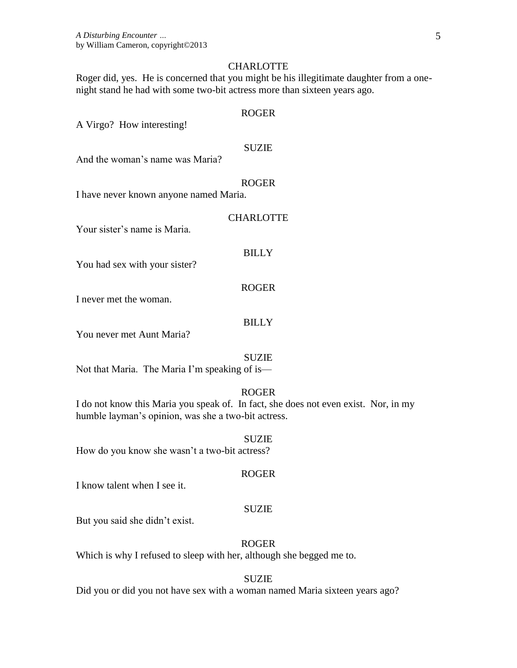### **CHARLOTTE**

Roger did, yes. He is concerned that you might be his illegitimate daughter from a onenight stand he had with some two-bit actress more than sixteen years ago.

# ROGER

A Virgo? How interesting!

### SUZIE

And the woman's name was Maria?

#### ROGER

I have never known anyone named Maria.

# **CHARLOTTE**

Your sister's name is Maria.

### BILLY

You had sex with your sister?

### ROGER

I never met the woman.

# **BILLY**

You never met Aunt Maria?

#### **SUZIE**

Not that Maria. The Maria I'm speaking of is—

# ROGER

I do not know this Maria you speak of. In fact, she does not even exist. Nor, in my humble layman's opinion, was she a two-bit actress.

#### SUZIE

How do you know she wasn't a two-bit actress?

#### ROGER

I know talent when I see it.

#### SUZIE

But you said she didn't exist.

# ROGER

Which is why I refused to sleep with her, although she begged me to.

#### SUZIE

Did you or did you not have sex with a woman named Maria sixteen years ago?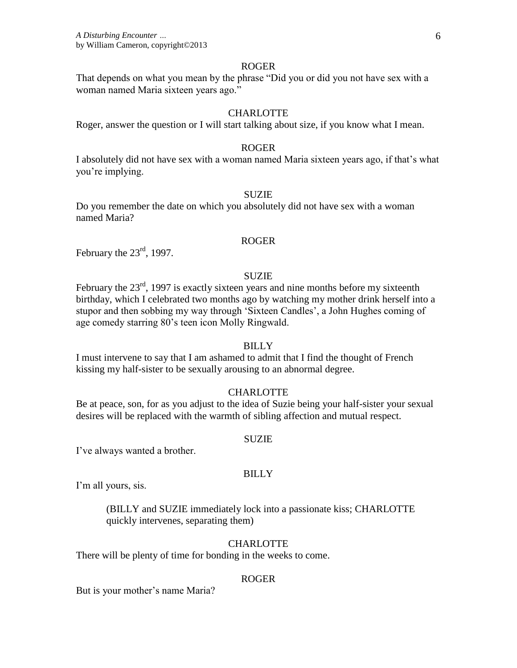#### ROGER

That depends on what you mean by the phrase "Did you or did you not have sex with a woman named Maria sixteen years ago."

# **CHARLOTTE**

Roger, answer the question or I will start talking about size, if you know what I mean.

### ROGER

I absolutely did not have sex with a woman named Maria sixteen years ago, if that's what you're implying.

### SUZIE

Do you remember the date on which you absolutely did not have sex with a woman named Maria?

# ROGER

February the  $23^{\text{rd}}$ , 1997.

#### SUZIE

February the  $23<sup>rd</sup>$ , 1997 is exactly sixteen years and nine months before my sixteenth birthday, which I celebrated two months ago by watching my mother drink herself into a stupor and then sobbing my way through 'Sixteen Candles', a John Hughes coming of age comedy starring 80's teen icon Molly Ringwald.

# **BILLY**

I must intervene to say that I am ashamed to admit that I find the thought of French kissing my half-sister to be sexually arousing to an abnormal degree.

### **CHARLOTTE**

Be at peace, son, for as you adjust to the idea of Suzie being your half-sister your sexual desires will be replaced with the warmth of sibling affection and mutual respect.

#### SUZIE

I've always wanted a brother.

# BILLY

I'm all yours, sis.

(BILLY and SUZIE immediately lock into a passionate kiss; CHARLOTTE quickly intervenes, separating them)

# **CHARLOTTE**

There will be plenty of time for bonding in the weeks to come.

#### ROGER

But is your mother's name Maria?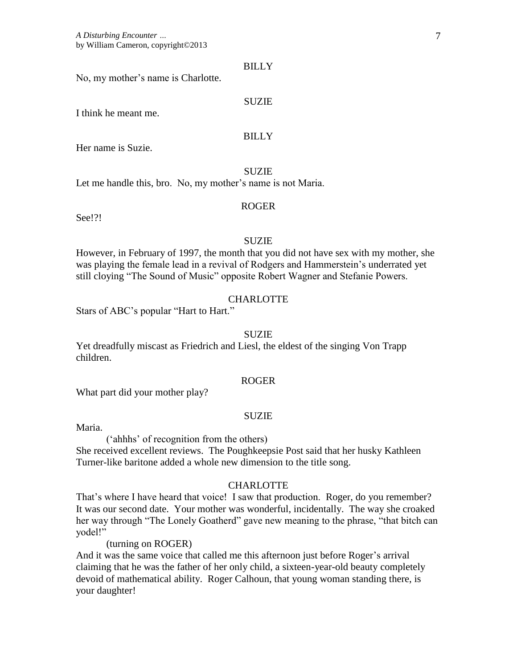#### BILLY

No, my mother's name is Charlotte.

### SUZIE

I think he meant me.

# **BILLY**

Her name is Suzie.

SUZIE

Let me handle this, bro. No, my mother's name is not Maria.

# ROGER

See!?!

### **SUZIE**

However, in February of 1997, the month that you did not have sex with my mother, she was playing the female lead in a revival of Rodgers and Hammerstein's underrated yet still cloying "The Sound of Music" opposite Robert Wagner and Stefanie Powers.

# **CHARLOTTE**

Stars of ABC's popular "Hart to Hart."

## SUZIE

Yet dreadfully miscast as Friedrich and Liesl, the eldest of the singing Von Trapp children.

# ROGER

What part did your mother play?

### **SUZIE**

Maria.

('ahhhs' of recognition from the others)

She received excellent reviews. The Poughkeepsie Post said that her husky Kathleen Turner-like baritone added a whole new dimension to the title song.

#### **CHARLOTTE**

That's where I have heard that voice! I saw that production. Roger, do you remember? It was our second date. Your mother was wonderful, incidentally. The way she croaked her way through "The Lonely Goatherd" gave new meaning to the phrase, "that bitch can yodel!"

(turning on ROGER)

And it was the same voice that called me this afternoon just before Roger's arrival claiming that he was the father of her only child, a sixteen-year-old beauty completely devoid of mathematical ability. Roger Calhoun, that young woman standing there, is your daughter!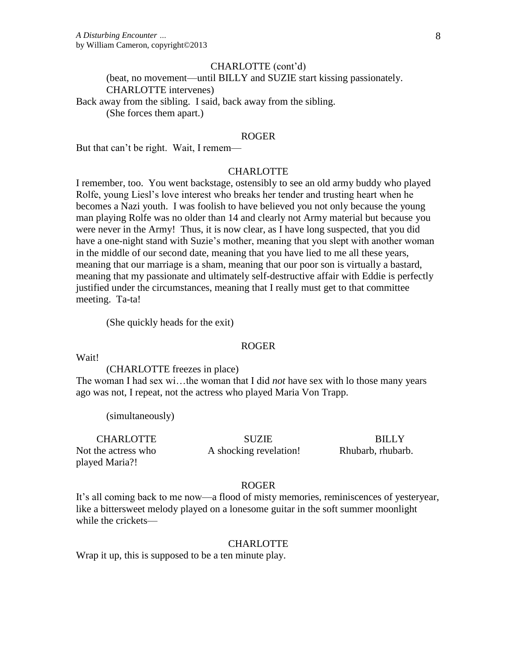#### CHARLOTTE (cont'd)

(beat, no movement—until BILLY and SUZIE start kissing passionately. CHARLOTTE intervenes)

Back away from the sibling. I said, back away from the sibling. (She forces them apart.)

### ROGER

But that can't be right. Wait, I remem—

# **CHARLOTTE**

I remember, too. You went backstage, ostensibly to see an old army buddy who played Rolfe, young Liesl's love interest who breaks her tender and trusting heart when he becomes a Nazi youth. I was foolish to have believed you not only because the young man playing Rolfe was no older than 14 and clearly not Army material but because you were never in the Army! Thus, it is now clear, as I have long suspected, that you did have a one-night stand with Suzie's mother, meaning that you slept with another woman in the middle of our second date, meaning that you have lied to me all these years, meaning that our marriage is a sham, meaning that our poor son is virtually a bastard, meaning that my passionate and ultimately self-destructive affair with Eddie is perfectly justified under the circumstances, meaning that I really must get to that committee meeting. Ta-ta!

(She quickly heads for the exit)

#### ROGER

Wait!

(CHARLOTTE freezes in place)

The woman I had sex wi…the woman that I did *not* have sex with lo those many years ago was not, I repeat, not the actress who played Maria Von Trapp.

(simultaneously)

CHARLOTTE Not the actress who played Maria?!

**SUZIE** A shocking revelation!

**BILLY** Rhubarb, rhubarb.

#### ROGER

It's all coming back to me now—a flood of misty memories, reminiscences of yesteryear, like a bittersweet melody played on a lonesome guitar in the soft summer moonlight while the crickets—

### **CHARLOTTE**

Wrap it up, this is supposed to be a ten minute play.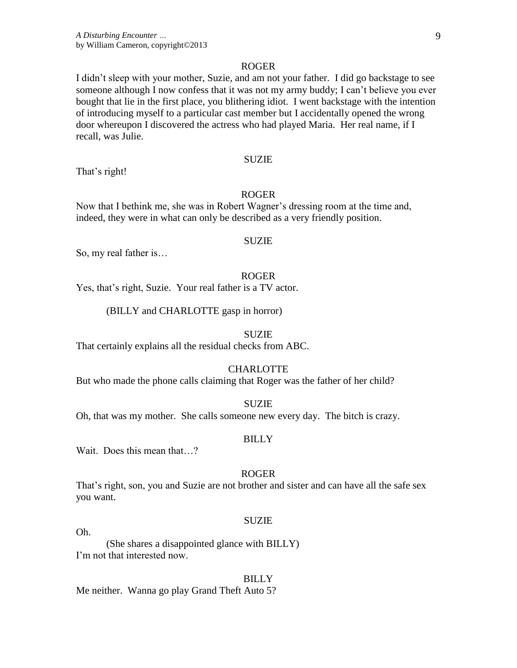### ROGER

I didn't sleep with your mother, Suzie, and am not your father. I did go backstage to see someone although I now confess that it was not my army buddy; I can't believe you ever bought that lie in the first place, you blithering idiot. I went backstage with the intention of introducing myself to a particular cast member but I accidentally opened the wrong door whereupon I discovered the actress who had played Maria. Her real name, if I recall, was Julie.

#### SUZIE

That's right!

# ROGER

Now that I bethink me, she was in Robert Wagner's dressing room at the time and, indeed, they were in what can only be described as a very friendly position.

#### **SUZIE**

So, my real father is…

### ROGER

Yes, that's right, Suzie. Your real father is a TV actor.

# (BILLY and CHARLOTTE gasp in horror)

#### SUZIE

That certainly explains all the residual checks from ABC.

#### **CHARLOTTE**

But who made the phone calls claiming that Roger was the father of her child?

# SUZIE

Oh, that was my mother. She calls someone new every day. The bitch is crazy.

#### BILLY

Wait. Does this mean that…?

# ROGER

That's right, son, you and Suzie are not brother and sister and can have all the safe sex you want.

# SUZIE

Oh.

(She shares a disappointed glance with BILLY) I'm not that interested now.

#### BILLY

Me neither. Wanna go play Grand Theft Auto 5?